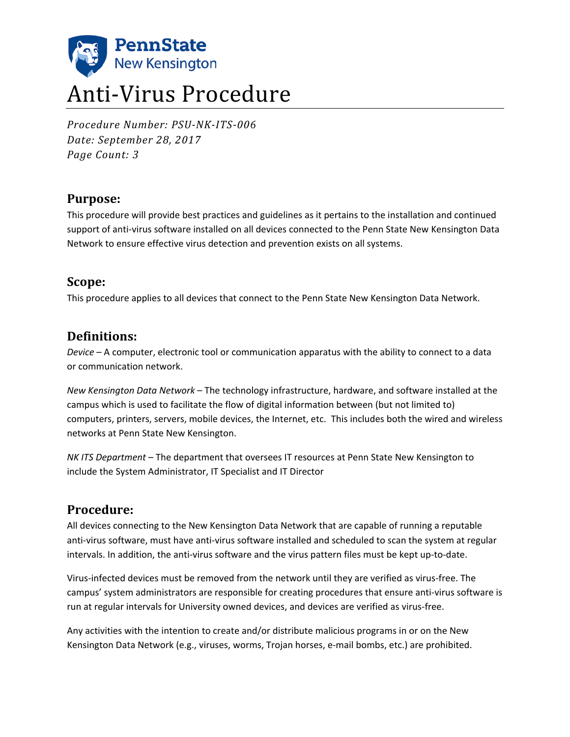

# Anti-Virus Procedure

*Procedure Number: PSU-NK-ITS-006 Date: September 28, 2017 Page Count: 3*

## **Purpose:**

This procedure will provide best practices and guidelines as it pertains to the installation and continued support of anti-virus software installed on all devices connected to the Penn State New Kensington Data Network to ensure effective virus detection and prevention exists on all systems.

#### **Scope:**

This procedure applies to all devices that connect to the Penn State New Kensington Data Network.

## **Definitions:**

*Device* – A computer, electronic tool or communication apparatus with the ability to connect to a data or communication network.

*New Kensington Data Network* – The technology infrastructure, hardware, and software installed at the campus which is used to facilitate the flow of digital information between (but not limited to) computers, printers, servers, mobile devices, the Internet, etc. This includes both the wired and wireless networks at Penn State New Kensington.

*NK ITS Department* – The department that oversees IT resources at Penn State New Kensington to include the System Administrator, IT Specialist and IT Director

## **Procedure:**

All devices connecting to the New Kensington Data Network that are capable of running a reputable anti-virus software, must have anti-virus software installed and scheduled to scan the system at regular intervals. In addition, the anti-virus software and the virus pattern files must be kept up-to-date.

Virus-infected devices must be removed from the network until they are verified as virus-free. The campus' system administrators are responsible for creating procedures that ensure anti-virus software is run at regular intervals for University owned devices, and devices are verified as virus-free.

Any activities with the intention to create and/or distribute malicious programs in or on the New Kensington Data Network (e.g., viruses, worms, Trojan horses, e-mail bombs, etc.) are prohibited.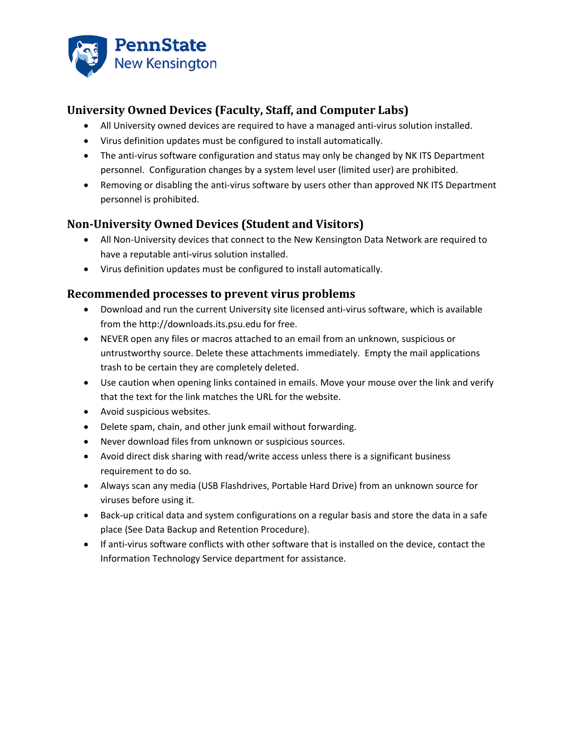

## **University Owned Devices (Faculty, Staff, and Computer Labs)**

- All University owned devices are required to have a managed anti-virus solution installed.
- Virus definition updates must be configured to install automatically.
- The anti-virus software configuration and status may only be changed by NK ITS Department personnel. Configuration changes by a system level user (limited user) are prohibited.
- Removing or disabling the anti-virus software by users other than approved NK ITS Department personnel is prohibited.

## **Non-University Owned Devices (Student and Visitors)**

- All Non-University devices that connect to the New Kensington Data Network are required to have a reputable anti-virus solution installed.
- Virus definition updates must be configured to install automatically.

#### **Recommended processes to prevent virus problems**

- Download and run the current University site licensed anti-virus software, which is available from the http://downloads.its.psu.edu for free.
- NEVER open any files or macros attached to an email from an unknown, suspicious or untrustworthy source. Delete these attachments immediately. Empty the mail applications trash to be certain they are completely deleted.
- Use caution when opening links contained in emails. Move your mouse over the link and verify that the text for the link matches the URL for the website.
- Avoid suspicious websites.
- Delete spam, chain, and other junk email without forwarding.
- Never download files from unknown or suspicious sources.
- Avoid direct disk sharing with read/write access unless there is a significant business requirement to do so.
- Always scan any media (USB Flashdrives, Portable Hard Drive) from an unknown source for viruses before using it.
- Back-up critical data and system configurations on a regular basis and store the data in a safe place (See Data Backup and Retention Procedure).
- If anti-virus software conflicts with other software that is installed on the device, contact the Information Technology Service department for assistance.